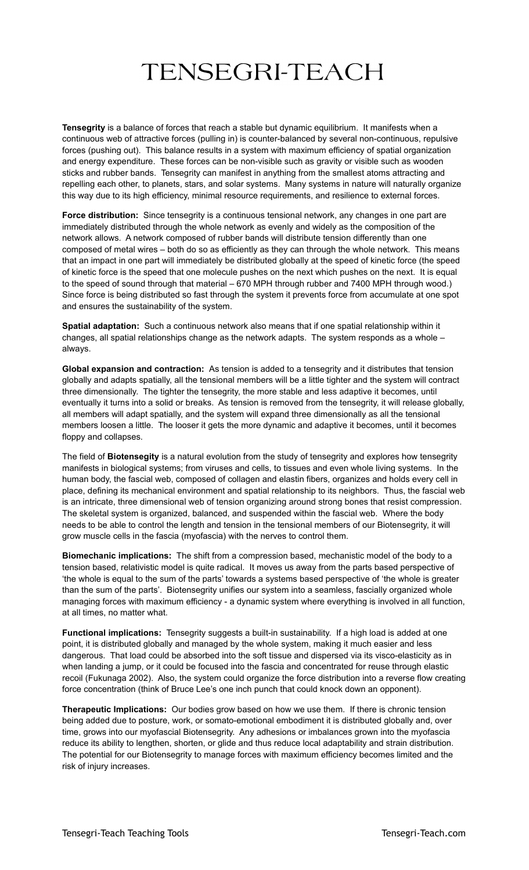## TENSEGRI-TEACH

**Tensegrity** is a balance of forces that reach a stable but dynamic equilibrium. It manifests when a continuous web of attractive forces (pulling in) is counter-balanced by several non-continuous, repulsive forces (pushing out). This balance results in a system with maximum efficiency of spatial organization and energy expenditure. These forces can be non-visible such as gravity or visible such as wooden sticks and rubber bands. Tensegrity can manifest in anything from the smallest atoms attracting and repelling each other, to planets, stars, and solar systems. Many systems in nature will naturally organize this way due to its high efficiency, minimal resource requirements, and resilience to external forces.

**Force distribution:** Since tensegrity is a continuous tensional network, any changes in one part are immediately distributed through the whole network as evenly and widely as the composition of the network allows. A network composed of rubber bands will distribute tension differently than one composed of metal wires – both do so as efficiently as they can through the whole network. This means that an impact in one part will immediately be distributed globally at the speed of kinetic force (the speed of kinetic force is the speed that one molecule pushes on the next which pushes on the next. It is equal to the speed of sound through that material – 670 MPH through rubber and 7400 MPH through wood.) Since force is being distributed so fast through the system it prevents force from accumulate at one spot and ensures the sustainability of the system.

**Spatial adaptation:** Such a continuous network also means that if one spatial relationship within it changes, all spatial relationships change as the network adapts. The system responds as a whole – always.

**Global expansion and contraction:** As tension is added to a tensegrity and it distributes that tension globally and adapts spatially, all the tensional members will be a little tighter and the system will contract three dimensionally. The tighter the tensegrity, the more stable and less adaptive it becomes, until eventually it turns into a solid or breaks. As tension is removed from the tensegrity, it will release globally, all members will adapt spatially, and the system will expand three dimensionally as all the tensional members loosen a little. The looser it gets the more dynamic and adaptive it becomes, until it becomes floppy and collapses.

The field of **Biotensegity** is a natural evolution from the study of tensegrity and explores how tensegrity manifests in biological systems; from viruses and cells, to tissues and even whole living systems. In the human body, the fascial web, composed of collagen and elastin fibers, organizes and holds every cell in place, defining its mechanical environment and spatial relationship to its neighbors. Thus, the fascial web is an intricate, three dimensional web of tension organizing around strong bones that resist compression. The skeletal system is organized, balanced, and suspended within the fascial web. Where the body needs to be able to control the length and tension in the tensional members of our Biotensegrity, it will grow muscle cells in the fascia (myofascia) with the nerves to control them.

**Biomechanic implications:** The shift from a compression based, mechanistic model of the body to a tension based, relativistic model is quite radical. It moves us away from the parts based perspective of 'the whole is equal to the sum of the parts' towards a systems based perspective of 'the whole is greater than the sum of the parts'. Biotensegrity unifies our system into a seamless, fascially organized whole managing forces with maximum efficiency - a dynamic system where everything is involved in all function, at all times, no matter what.

**Functional implications:** Tensegrity suggests a built-in sustainability. If a high load is added at one point, it is distributed globally and managed by the whole system, making it much easier and less dangerous. That load could be absorbed into the soft tissue and dispersed via its visco-elasticity as in when landing a jump, or it could be focused into the fascia and concentrated for reuse through elastic recoil (Fukunaga 2002). Also, the system could organize the force distribution into a reverse flow creating force concentration (think of Bruce Lee's one inch punch that could knock down an opponent).

**Therapeutic Implications:** Our bodies grow based on how we use them. If there is chronic tension being added due to posture, work, or somato-emotional embodiment it is distributed globally and, over time, grows into our myofascial Biotensegrity. Any adhesions or imbalances grown into the myofascia reduce its ability to lengthen, shorten, or glide and thus reduce local adaptability and strain distribution. The potential for our Biotensegrity to manage forces with maximum efficiency becomes limited and the risk of injury increases.